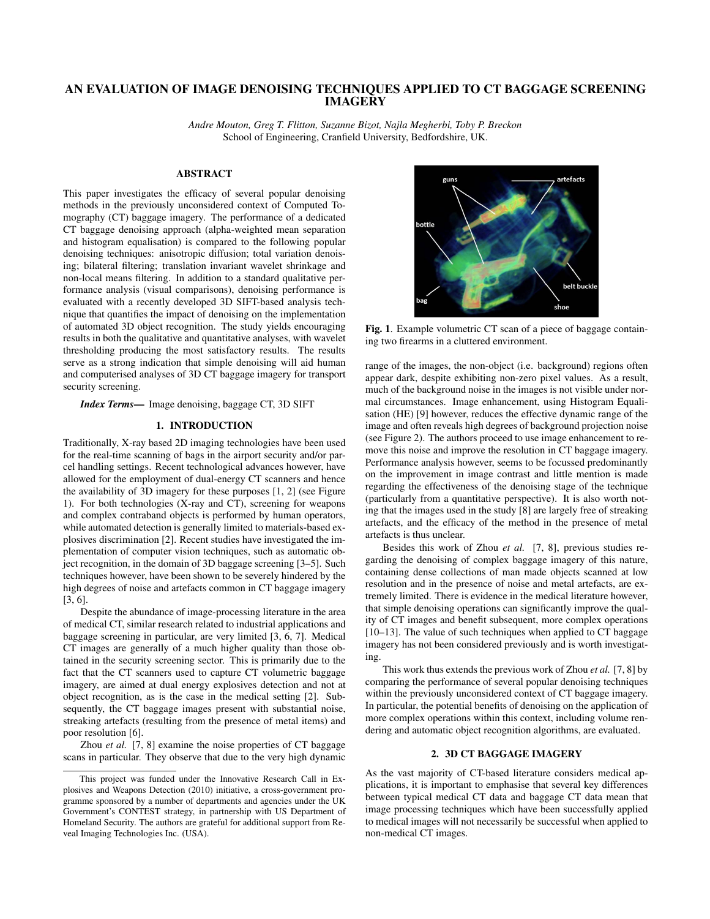# AN EVALUATION OF IMAGE DENOISING TECHNIQUES APPLIED TO CT BAGGAGE SCREENING IMAGERY

*Andre Mouton, Greg T. Flitton, Suzanne Bizot, Najla Megherbi, Toby P. Breckon* School of Engineering, Cranfield University, Bedfordshire, UK.

# ABSTRACT

This paper investigates the efficacy of several popular denoising methods in the previously unconsidered context of Computed Tomography (CT) baggage imagery. The performance of a dedicated CT baggage denoising approach (alpha-weighted mean separation and histogram equalisation) is compared to the following popular denoising techniques: anisotropic diffusion; total variation denoising; bilateral filtering; translation invariant wavelet shrinkage and non-local means filtering. In addition to a standard qualitative performance analysis (visual comparisons), denoising performance is evaluated with a recently developed 3D SIFT-based analysis technique that quantifies the impact of denoising on the implementation of automated 3D object recognition. The study yields encouraging results in both the qualitative and quantitative analyses, with wavelet thresholding producing the most satisfactory results. The results serve as a strong indication that simple denoising will aid human and computerised analyses of 3D CT baggage imagery for transport security screening.

*Index Terms*— Image denoising, baggage CT, 3D SIFT

#### 1. INTRODUCTION

Traditionally, X-ray based 2D imaging technologies have been used for the real-time scanning of bags in the airport security and/or parcel handling settings. Recent technological advances however, have allowed for the employment of dual-energy CT scanners and hence the availability of 3D imagery for these purposes [1, 2] (see Figure 1). For both technologies (X-ray and CT), screening for weapons and complex contraband objects is performed by human operators, while automated detection is generally limited to materials-based explosives discrimination [2]. Recent studies have investigated the implementation of computer vision techniques, such as automatic object recognition, in the domain of 3D baggage screening [3–5]. Such techniques however, have been shown to be severely hindered by the high degrees of noise and artefacts common in CT baggage imagery [3, 6].

Despite the abundance of image-processing literature in the area of medical CT, similar research related to industrial applications and baggage screening in particular, are very limited [3, 6, 7]. Medical CT images are generally of a much higher quality than those obtained in the security screening sector. This is primarily due to the fact that the CT scanners used to capture CT volumetric baggage imagery, are aimed at dual energy explosives detection and not at object recognition, as is the case in the medical setting [2]. Subsequently, the CT baggage images present with substantial noise, streaking artefacts (resulting from the presence of metal items) and poor resolution [6].

Zhou *et al.* [7, 8] examine the noise properties of CT baggage scans in particular. They observe that due to the very high dynamic



Fig. 1. Example volumetric CT scan of a piece of baggage containing two firearms in a cluttered environment.

range of the images, the non-object (i.e. background) regions often appear dark, despite exhibiting non-zero pixel values. As a result, much of the background noise in the images is not visible under normal circumstances. Image enhancement, using Histogram Equalisation (HE) [9] however, reduces the effective dynamic range of the image and often reveals high degrees of background projection noise (see Figure 2). The authors proceed to use image enhancement to remove this noise and improve the resolution in CT baggage imagery. Performance analysis however, seems to be focussed predominantly on the improvement in image contrast and little mention is made regarding the effectiveness of the denoising stage of the technique (particularly from a quantitative perspective). It is also worth noting that the images used in the study [8] are largely free of streaking artefacts, and the efficacy of the method in the presence of metal artefacts is thus unclear.

Besides this work of Zhou *et al.* [7, 8], previous studies regarding the denoising of complex baggage imagery of this nature, containing dense collections of man made objects scanned at low resolution and in the presence of noise and metal artefacts, are extremely limited. There is evidence in the medical literature however, that simple denoising operations can significantly improve the quality of CT images and benefit subsequent, more complex operations [10–13]. The value of such techniques when applied to CT baggage imagery has not been considered previously and is worth investigating.

This work thus extends the previous work of Zhou *et al.* [7, 8] by comparing the performance of several popular denoising techniques within the previously unconsidered context of CT baggage imagery. In particular, the potential benefits of denoising on the application of more complex operations within this context, including volume rendering and automatic object recognition algorithms, are evaluated.

## 2. 3D CT BAGGAGE IMAGERY

As the vast majority of CT-based literature considers medical applications, it is important to emphasise that several key differences between typical medical CT data and baggage CT data mean that image processing techniques which have been successfully applied to medical images will not necessarily be successful when applied to non-medical CT images.

This project was funded under the Innovative Research Call in Explosives and Weapons Detection (2010) initiative, a cross-government programme sponsored by a number of departments and agencies under the UK Government's CONTEST strategy, in partnership with US Department of Homeland Security. The authors are grateful for additional support from Reveal Imaging Technologies Inc. (USA).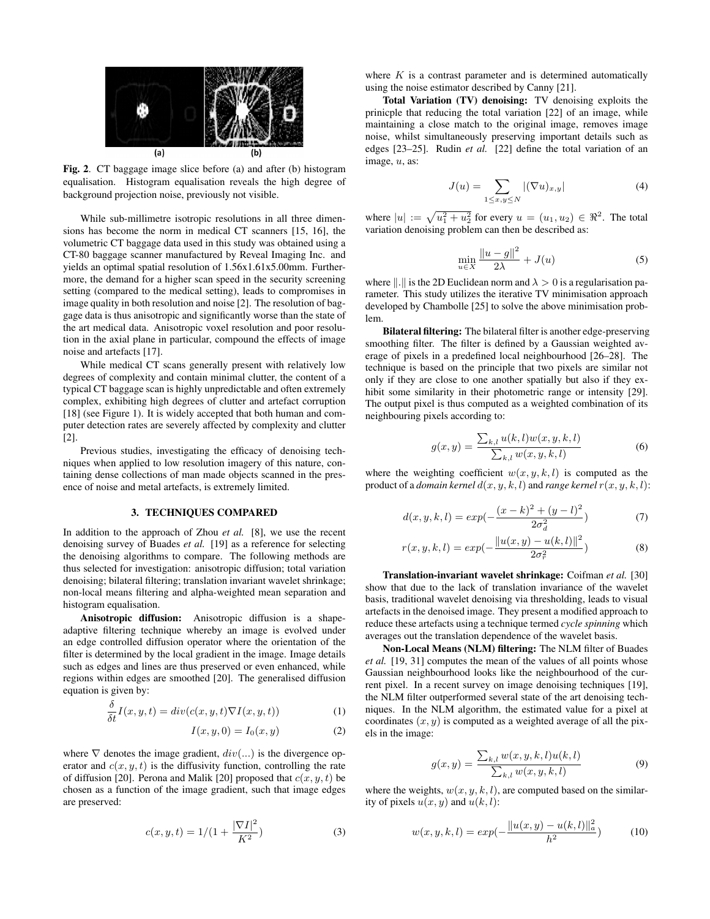

Fig. 2. CT baggage image slice before (a) and after (b) histogram equalisation. Histogram equalisation reveals the high degree of background projection noise, previously not visible.

While sub-millimetre isotropic resolutions in all three dimensions has become the norm in medical CT scanners [15, 16], the volumetric CT baggage data used in this study was obtained using a CT-80 baggage scanner manufactured by Reveal Imaging Inc. and yields an optimal spatial resolution of 1.56x1.61x5.00mm. Furthermore, the demand for a higher scan speed in the security screening setting (compared to the medical setting), leads to compromises in image quality in both resolution and noise [2]. The resolution of baggage data is thus anisotropic and significantly worse than the state of the art medical data. Anisotropic voxel resolution and poor resolution in the axial plane in particular, compound the effects of image noise and artefacts [17].

While medical CT scans generally present with relatively low degrees of complexity and contain minimal clutter, the content of a typical CT baggage scan is highly unpredictable and often extremely complex, exhibiting high degrees of clutter and artefact corruption [18] (see Figure 1). It is widely accepted that both human and computer detection rates are severely affected by complexity and clutter [2].

Previous studies, investigating the efficacy of denoising techniques when applied to low resolution imagery of this nature, containing dense collections of man made objects scanned in the presence of noise and metal artefacts, is extremely limited.

## 3. TECHNIQUES COMPARED

In addition to the approach of Zhou *et al.* [8], we use the recent denoising survey of Buades *et al.* [19] as a reference for selecting the denoising algorithms to compare. The following methods are thus selected for investigation: anisotropic diffusion; total variation denoising; bilateral filtering; translation invariant wavelet shrinkage; non-local means filtering and alpha-weighted mean separation and histogram equalisation.

Anisotropic diffusion: Anisotropic diffusion is a shapeadaptive filtering technique whereby an image is evolved under an edge controlled diffusion operator where the orientation of the filter is determined by the local gradient in the image. Image details such as edges and lines are thus preserved or even enhanced, while regions within edges are smoothed [20]. The generalised diffusion equation is given by:

$$
\frac{\delta}{\delta t}I(x, y, t) = div(c(x, y, t)\nabla I(x, y, t))\tag{1}
$$

$$
I(x, y, 0) = I_0(x, y)
$$
 (2)

where  $\nabla$  denotes the image gradient,  $div(...)$  is the divergence operator and  $c(x, y, t)$  is the diffusivity function, controlling the rate of diffusion [20]. Perona and Malik [20] proposed that  $c(x, y, t)$  be chosen as a function of the image gradient, such that image edges are preserved:

$$
c(x, y, t) = 1/(1 + \frac{|\nabla I|^2}{K^2})
$$
\n(3)

where  $K$  is a contrast parameter and is determined automatically using the noise estimator described by Canny [21].

Total Variation (TV) denoising: TV denoising exploits the prinicple that reducing the total variation [22] of an image, while maintaining a close match to the original image, removes image noise, whilst simultaneously preserving important details such as edges [23–25]. Rudin *et al.* [22] define the total variation of an image, u, as:

$$
J(u) = \sum_{1 \le x, y \le N} |(\nabla u)_{x,y}| \tag{4}
$$

where  $|u| := \sqrt{u_1^2 + u_2^2}$  for every  $u = (u_1, u_2) \in \Re^2$ . The total variation denoising problem can then be described as:

$$
\min_{u \in X} \frac{\|u - g\|^2}{2\lambda} + J(u) \tag{5}
$$

where  $\|.\|$  is the 2D Euclidean norm and  $\lambda > 0$  is a regularisation parameter. This study utilizes the iterative TV minimisation approach developed by Chambolle [25] to solve the above minimisation problem.

Bilateral filtering: The bilateral filter is another edge-preserving smoothing filter. The filter is defined by a Gaussian weighted average of pixels in a predefined local neighbourhood [26–28]. The technique is based on the principle that two pixels are similar not only if they are close to one another spatially but also if they exhibit some similarity in their photometric range or intensity [29]. The output pixel is thus computed as a weighted combination of its neighbouring pixels according to:

$$
g(x,y) = \frac{\sum_{k,l} u(k,l)w(x,y,k,l)}{\sum_{k,l} w(x,y,k,l)}
$$
(6)

where the weighting coefficient  $w(x, y, k, l)$  is computed as the product of a *domain kernel*  $d(x, y, k, l)$  and *range kernel*  $r(x, y, k, l)$ :

$$
d(x, y, k, l) = exp(-\frac{(x - k)^{2} + (y - l)^{2}}{2\sigma_{d}^{2}})
$$
\n(7)

$$
r(x, y, k, l) = exp(-\frac{\|u(x, y) - u(k, l)\|^2}{2\sigma_r^2})
$$
\n(8)

Translation-invariant wavelet shrinkage: Coifman *et al.* [30] show that due to the lack of translation invariance of the wavelet basis, traditional wavelet denoising via thresholding, leads to visual artefacts in the denoised image. They present a modified approach to reduce these artefacts using a technique termed *cycle spinning* which averages out the translation dependence of the wavelet basis.

Non-Local Means (NLM) filtering: The NLM filter of Buades *et al.* [19, 31] computes the mean of the values of all points whose Gaussian neighbourhood looks like the neighbourhood of the current pixel. In a recent survey on image denoising techniques [19], the NLM filter outperformed several state of the art denoising techniques. In the NLM algorithm, the estimated value for a pixel at coordinates  $(x, y)$  is computed as a weighted average of all the pixels in the image:

$$
g(x,y) = \frac{\sum_{k,l} w(x,y,k,l)u(k,l)}{\sum_{k,l} w(x,y,k,l)}
$$
(9)

where the weights,  $w(x, y, k, l)$ , are computed based on the similarity of pixels  $u(x, y)$  and  $u(k, l)$ :

$$
w(x, y, k, l) = exp(-\frac{\|u(x, y) - u(k, l)\|_a^2}{h^2})
$$
 (10)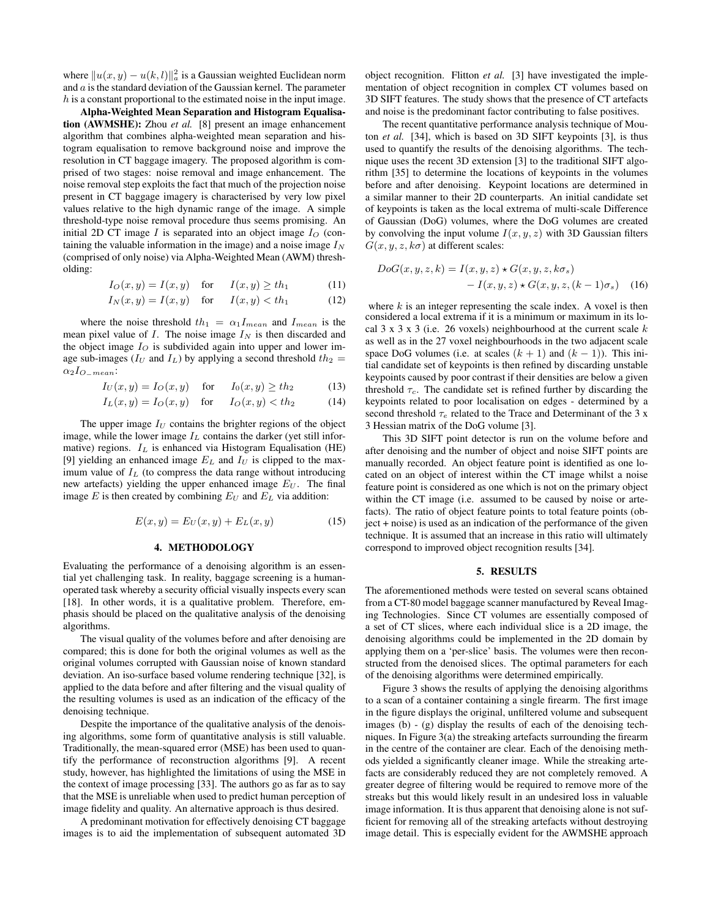where  $\|u(x, y) - u(k, l)\|_a^2$  is a Gaussian weighted Euclidean norm and  $a$  is the standard deviation of the Gaussian kernel. The parameter h is a constant proportional to the estimated noise in the input image.

Alpha-Weighted Mean Separation and Histogram Equalisation (AWMSHE): Zhou *et al.* [8] present an image enhancement algorithm that combines alpha-weighted mean separation and histogram equalisation to remove background noise and improve the resolution in CT baggage imagery. The proposed algorithm is comprised of two stages: noise removal and image enhancement. The noise removal step exploits the fact that much of the projection noise present in CT baggage imagery is characterised by very low pixel values relative to the high dynamic range of the image. A simple threshold-type noise removal procedure thus seems promising. An initial 2D CT image I is separated into an object image  $I_{\Omega}$  (containing the valuable information in the image) and a noise image  $I<sub>N</sub>$ (comprised of only noise) via Alpha-Weighted Mean (AWM) thresholding:

$$
I_O(x, y) = I(x, y) \quad \text{for} \quad I(x, y) \ge th_1 \tag{11}
$$

$$
I_N(x, y) = I(x, y) \quad \text{for} \quad I(x, y) < th_1 \tag{12}
$$

where the noise threshold  $th_1 = \alpha_1 I_{mean}$  and  $I_{mean}$  is the mean pixel value of  $I$ . The noise image  $I<sub>N</sub>$  is then discarded and the object image  $I_{\Omega}$  is subdivided again into upper and lower image sub-images ( $I_U$  and  $I_L$ ) by applying a second threshold  $th_2$  =  $\alpha_2 I_{O\_mean}$ :

$$
I_U(x, y) = I_O(x, y) \quad \text{for} \quad I_0(x, y) \ge th_2 \tag{13}
$$

$$
I_L(x, y) = I_O(x, y) \quad \text{for} \quad I_O(x, y) < th_2 \tag{14}
$$

The upper image  $I_U$  contains the brighter regions of the object image, while the lower image  $I_L$  contains the darker (yet still informative) regions.  $I_L$  is enhanced via Histogram Equalisation (HE) [9] yielding an enhanced image  $E_L$  and  $I_U$  is clipped to the maximum value of  $I_L$  (to compress the data range without introducing new artefacts) yielding the upper enhanced image  $E_U$ . The final image E is then created by combining  $E_U$  and  $E_L$  via addition:

$$
E(x, y) = E_U(x, y) + E_L(x, y)
$$
 (15)

#### 4. METHODOLOGY

Evaluating the performance of a denoising algorithm is an essential yet challenging task. In reality, baggage screening is a humanoperated task whereby a security official visually inspects every scan [18]. In other words, it is a qualitative problem. Therefore, emphasis should be placed on the qualitative analysis of the denoising algorithms.

The visual quality of the volumes before and after denoising are compared; this is done for both the original volumes as well as the original volumes corrupted with Gaussian noise of known standard deviation. An iso-surface based volume rendering technique [32], is applied to the data before and after filtering and the visual quality of the resulting volumes is used as an indication of the efficacy of the denoising technique.

Despite the importance of the qualitative analysis of the denoising algorithms, some form of quantitative analysis is still valuable. Traditionally, the mean-squared error (MSE) has been used to quantify the performance of reconstruction algorithms [9]. A recent study, however, has highlighted the limitations of using the MSE in the context of image processing [33]. The authors go as far as to say that the MSE is unreliable when used to predict human perception of image fidelity and quality. An alternative approach is thus desired.

A predominant motivation for effectively denoising CT baggage images is to aid the implementation of subsequent automated 3D

object recognition. Flitton *et al.* [3] have investigated the implementation of object recognition in complex CT volumes based on 3D SIFT features. The study shows that the presence of CT artefacts and noise is the predominant factor contributing to false positives.

The recent quantitative performance analysis technique of Mouton *et al.* [34], which is based on 3D SIFT keypoints [3], is thus used to quantify the results of the denoising algorithms. The technique uses the recent 3D extension [3] to the traditional SIFT algorithm [35] to determine the locations of keypoints in the volumes before and after denoising. Keypoint locations are determined in a similar manner to their 2D counterparts. An initial candidate set of keypoints is taken as the local extrema of multi-scale Difference of Gaussian (DoG) volumes, where the DoG volumes are created by convolving the input volume  $I(x, y, z)$  with 3D Gaussian filters  $G(x, y, z, k\sigma)$  at different scales:

$$
DoG(x, y, z, k) = I(x, y, z) \star G(x, y, z, k\sigma_s)
$$

$$
- I(x, y, z) \star G(x, y, z, (k - 1)\sigma_s) \quad (16)
$$

where  $k$  is an integer representing the scale index. A voxel is then considered a local extrema if it is a minimum or maximum in its local 3 x 3 x 3 (i.e. 26 voxels) neighbourhood at the current scale  $k$ as well as in the 27 voxel neighbourhoods in the two adjacent scale space DoG volumes (i.e. at scales  $(k + 1)$  and  $(k - 1)$ ). This initial candidate set of keypoints is then refined by discarding unstable keypoints caused by poor contrast if their densities are below a given threshold  $\tau_c$ . The candidate set is refined further by discarding the keypoints related to poor localisation on edges - determined by a second threshold  $\tau_e$  related to the Trace and Determinant of the 3 x 3 Hessian matrix of the DoG volume [3].

This 3D SIFT point detector is run on the volume before and after denoising and the number of object and noise SIFT points are manually recorded. An object feature point is identified as one located on an object of interest within the CT image whilst a noise feature point is considered as one which is not on the primary object within the CT image (i.e. assumed to be caused by noise or artefacts). The ratio of object feature points to total feature points (object + noise) is used as an indication of the performance of the given technique. It is assumed that an increase in this ratio will ultimately correspond to improved object recognition results [34].

#### 5. RESULTS

The aforementioned methods were tested on several scans obtained from a CT-80 model baggage scanner manufactured by Reveal Imaging Technologies. Since CT volumes are essentially composed of a set of CT slices, where each individual slice is a 2D image, the denoising algorithms could be implemented in the 2D domain by applying them on a 'per-slice' basis. The volumes were then reconstructed from the denoised slices. The optimal parameters for each of the denoising algorithms were determined empirically.

Figure 3 shows the results of applying the denoising algorithms to a scan of a container containing a single firearm. The first image in the figure displays the original, unfiltered volume and subsequent images (b) - (g) display the results of each of the denoising techniques. In Figure 3(a) the streaking artefacts surrounding the firearm in the centre of the container are clear. Each of the denoising methods yielded a significantly cleaner image. While the streaking artefacts are considerably reduced they are not completely removed. A greater degree of filtering would be required to remove more of the streaks but this would likely result in an undesired loss in valuable image information. It is thus apparent that denoising alone is not sufficient for removing all of the streaking artefacts without destroying image detail. This is especially evident for the AWMSHE approach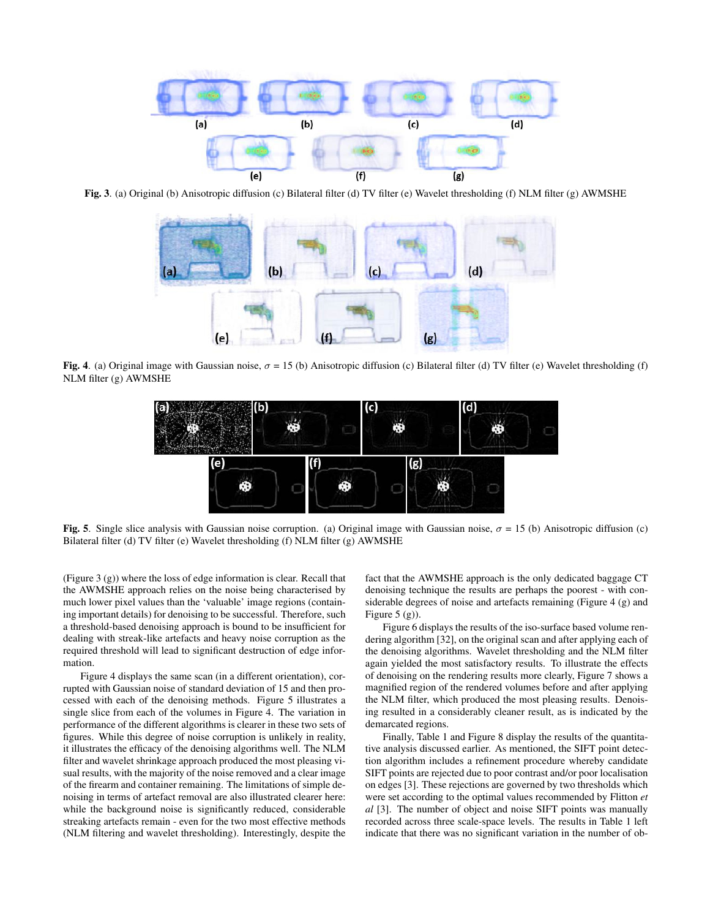

Fig. 3. (a) Original (b) Anisotropic diffusion (c) Bilateral filter (d) TV filter (e) Wavelet thresholding (f) NLM filter (g) AWMSHE



Fig. 4. (a) Original image with Gaussian noise,  $\sigma = 15$  (b) Anisotropic diffusion (c) Bilateral filter (d) TV filter (e) Wavelet thresholding (f) NLM filter (g) AWMSHE



Fig. 5. Single slice analysis with Gaussian noise corruption. (a) Original image with Gaussian noise,  $\sigma = 15$  (b) Anisotropic diffusion (c) Bilateral filter (d) TV filter (e) Wavelet thresholding (f) NLM filter (g) AWMSHE

(Figure 3 (g)) where the loss of edge information is clear. Recall that the AWMSHE approach relies on the noise being characterised by much lower pixel values than the 'valuable' image regions (containing important details) for denoising to be successful. Therefore, such a threshold-based denoising approach is bound to be insufficient for dealing with streak-like artefacts and heavy noise corruption as the required threshold will lead to significant destruction of edge information.

Figure 4 displays the same scan (in a different orientation), corrupted with Gaussian noise of standard deviation of 15 and then processed with each of the denoising methods. Figure 5 illustrates a single slice from each of the volumes in Figure 4. The variation in performance of the different algorithms is clearer in these two sets of figures. While this degree of noise corruption is unlikely in reality, it illustrates the efficacy of the denoising algorithms well. The NLM filter and wavelet shrinkage approach produced the most pleasing visual results, with the majority of the noise removed and a clear image of the firearm and container remaining. The limitations of simple denoising in terms of artefact removal are also illustrated clearer here: while the background noise is significantly reduced, considerable streaking artefacts remain - even for the two most effective methods (NLM filtering and wavelet thresholding). Interestingly, despite the

fact that the AWMSHE approach is the only dedicated baggage CT denoising technique the results are perhaps the poorest - with considerable degrees of noise and artefacts remaining (Figure 4 (g) and Figure  $5(g)$ ).

Figure 6 displays the results of the iso-surface based volume rendering algorithm [32], on the original scan and after applying each of the denoising algorithms. Wavelet thresholding and the NLM filter again yielded the most satisfactory results. To illustrate the effects of denoising on the rendering results more clearly, Figure 7 shows a magnified region of the rendered volumes before and after applying the NLM filter, which produced the most pleasing results. Denoising resulted in a considerably cleaner result, as is indicated by the demarcated regions.

Finally, Table 1 and Figure 8 display the results of the quantitative analysis discussed earlier. As mentioned, the SIFT point detection algorithm includes a refinement procedure whereby candidate SIFT points are rejected due to poor contrast and/or poor localisation on edges [3]. These rejections are governed by two thresholds which were set according to the optimal values recommended by Flitton *et al* [3]. The number of object and noise SIFT points was manually recorded across three scale-space levels. The results in Table 1 left indicate that there was no significant variation in the number of ob-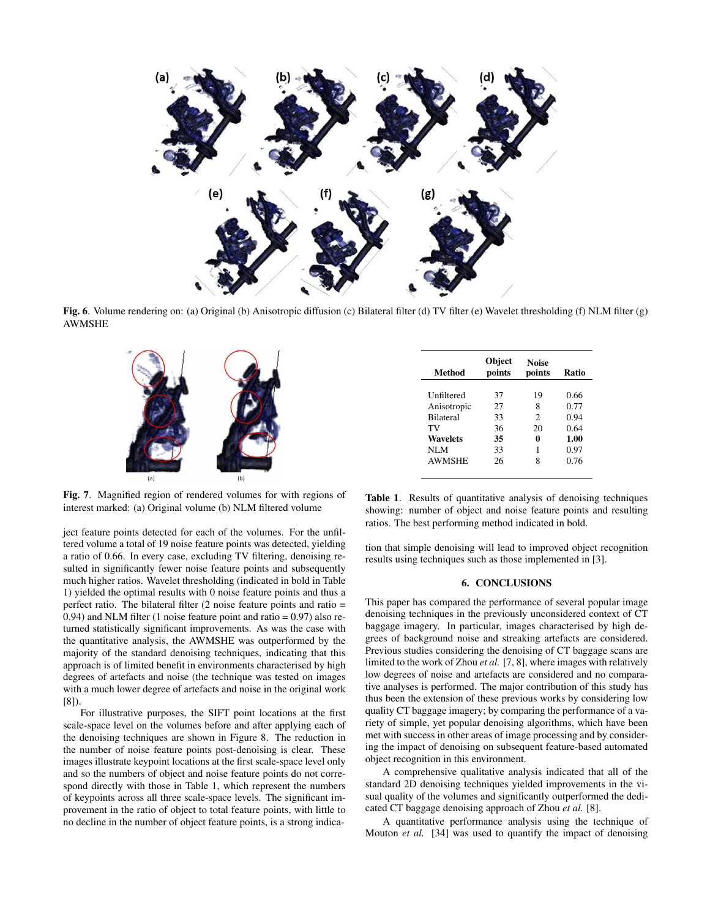

Fig. 6. Volume rendering on: (a) Original (b) Anisotropic diffusion (c) Bilateral filter (d) TV filter (e) Wavelet thresholding (f) NLM filter (g) AWMSHE



Fig. 7. Magnified region of rendered volumes for with regions of interest marked: (a) Original volume (b) NLM filtered volume

ject feature points detected for each of the volumes. For the unfiltered volume a total of 19 noise feature points was detected, yielding a ratio of 0.66. In every case, excluding TV filtering, denoising resulted in significantly fewer noise feature points and subsequently much higher ratios. Wavelet thresholding (indicated in bold in Table 1) yielded the optimal results with 0 noise feature points and thus a perfect ratio. The bilateral filter (2 noise feature points and ratio = 0.94) and NLM filter (1 noise feature point and ratio =  $0.97$ ) also returned statistically significant improvements. As was the case with the quantitative analysis, the AWMSHE was outperformed by the majority of the standard denoising techniques, indicating that this approach is of limited benefit in environments characterised by high degrees of artefacts and noise (the technique was tested on images with a much lower degree of artefacts and noise in the original work [8]).

For illustrative purposes, the SIFT point locations at the first scale-space level on the volumes before and after applying each of the denoising techniques are shown in Figure 8. The reduction in the number of noise feature points post-denoising is clear. These images illustrate keypoint locations at the first scale-space level only and so the numbers of object and noise feature points do not correspond directly with those in Table 1, which represent the numbers of keypoints across all three scale-space levels. The significant improvement in the ratio of object to total feature points, with little to no decline in the number of object feature points, is a strong indica-

| Method           | <b>Object</b><br>points | <b>Noise</b><br>points      | Ratio |
|------------------|-------------------------|-----------------------------|-------|
| Unfiltered       | 37                      | 19                          | 0.66  |
| Anisotropic      | 27                      | 8                           | 0.77  |
| <b>Bilateral</b> | 33                      | $\mathcal{D}_{\mathcal{L}}$ | 0.94  |
| TV               | 36                      | 20                          | 0.64  |
| <b>Wavelets</b>  | 35                      | 0                           | 1.00  |
| NLM              | 33                      |                             | 0.97  |
| <b>AWMSHE</b>    | 26                      |                             | 0.76  |

Table 1. Results of quantitative analysis of denoising techniques showing: number of object and noise feature points and resulting ratios. The best performing method indicated in bold.

tion that simple denoising will lead to improved object recognition results using techniques such as those implemented in [3].

# 6. CONCLUSIONS

This paper has compared the performance of several popular image denoising techniques in the previously unconsidered context of CT baggage imagery. In particular, images characterised by high degrees of background noise and streaking artefacts are considered. Previous studies considering the denoising of CT baggage scans are limited to the work of Zhou *et al.* [7, 8], where images with relatively low degrees of noise and artefacts are considered and no comparative analyses is performed. The major contribution of this study has thus been the extension of these previous works by considering low quality CT baggage imagery; by comparing the performance of a variety of simple, yet popular denoising algorithms, which have been met with success in other areas of image processing and by considering the impact of denoising on subsequent feature-based automated object recognition in this environment.

A comprehensive qualitative analysis indicated that all of the standard 2D denoising techniques yielded improvements in the visual quality of the volumes and significantly outperformed the dedicated CT baggage denoising approach of Zhou *et al.* [8].

A quantitative performance analysis using the technique of Mouton *et al.* [34] was used to quantify the impact of denoising